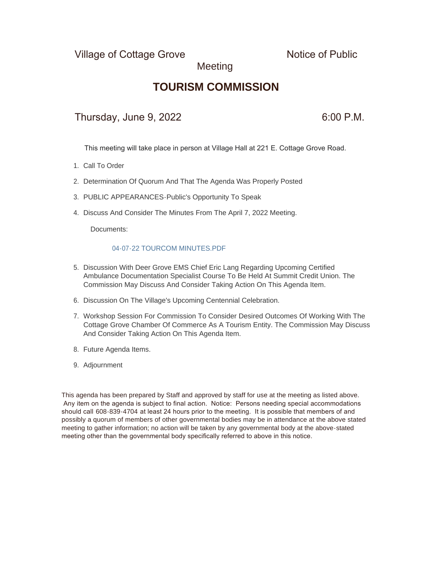Village of Cottage Grove Notice of Public

**Meeting** 

# **TOURISM COMMISSION**

### Thursday, June 9, 2022 6:00 P.M.

This meeting will take place in person at Village Hall at 221 E. Cottage Grove Road.

- 1. Call To Order
- 2. Determination Of Quorum And That The Agenda Was Properly Posted
- PUBLIC APPEARANCES-Public's Opportunity To Speak 3.
- 4. Discuss And Consider The Minutes From The April 7, 2022 Meeting.

Documents:

#### 04-07-22 TOURCOM MINUTES.PDF

- 5. Discussion With Deer Grove EMS Chief Eric Lang Regarding Upcoming Certified Ambulance Documentation Specialist Course To Be Held At Summit Credit Union. The Commission May Discuss And Consider Taking Action On This Agenda Item.
- 6. Discussion On The Village's Upcoming Centennial Celebration.
- 7. Workshop Session For Commission To Consider Desired Outcomes Of Working With The Cottage Grove Chamber Of Commerce As A Tourism Entity. The Commission May Discuss And Consider Taking Action On This Agenda Item.
- 8. Future Agenda Items.
- 9. Adjournment

This agenda has been prepared by Staff and approved by staff for use at the meeting as listed above. Any item on the agenda is subject to final action. Notice: Persons needing special accommodations should call 608-839-4704 at least 24 hours prior to the meeting. It is possible that members of and possibly a quorum of members of other governmental bodies may be in attendance at the above stated meeting to gather information; no action will be taken by any governmental body at the above-stated meeting other than the governmental body specifically referred to above in this notice.